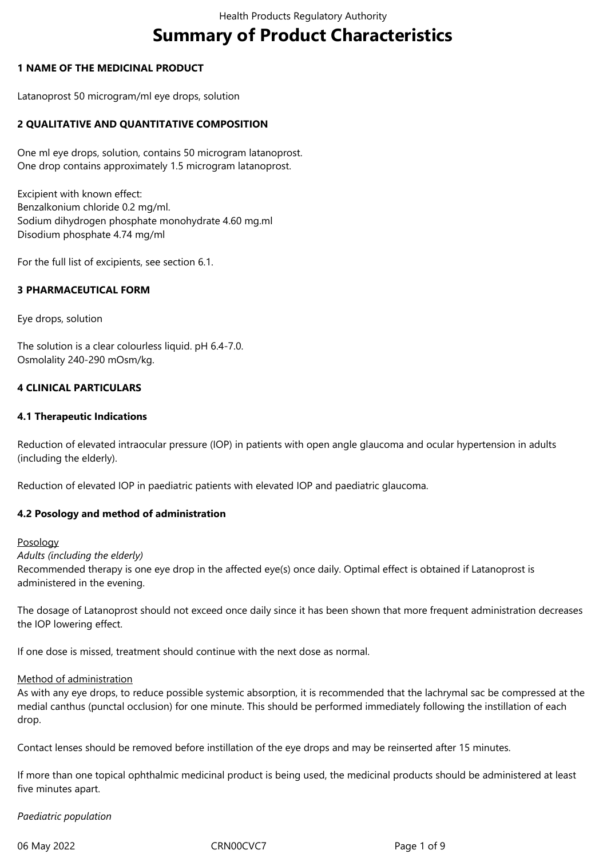# **Summary of Product Characteristics**

# **1 NAME OF THE MEDICINAL PRODUCT**

Latanoprost 50 microgram/ml eye drops, solution

# **2 QUALITATIVE AND QUANTITATIVE COMPOSITION**

One ml eye drops, solution, contains 50 microgram latanoprost. One drop contains approximately 1.5 microgram latanoprost.

Excipient with known effect: Benzalkonium chloride 0.2 mg/ml. Sodium dihydrogen phosphate monohydrate 4.60 mg.ml Disodium phosphate 4.74 mg/ml

For the full list of excipients, see section 6.1.

# **3 PHARMACEUTICAL FORM**

Eye drops, solution

The solution is a clear colourless liquid. pH 6.4-7.0. Osmolality 240-290 mOsm/kg.

# **4 CLINICAL PARTICULARS**

# **4.1 Therapeutic Indications**

Reduction of elevated intraocular pressure (IOP) in patients with open angle glaucoma and ocular hypertension in adults (including the elderly).

Reduction of elevated IOP in paediatric patients with elevated IOP and paediatric glaucoma.

# **4.2 Posology and method of administration**

Posology

*Adults (including the elderly)*

Recommended therapy is one eye drop in the affected eye(s) once daily. Optimal effect is obtained if Latanoprost is administered in the evening.

The dosage of Latanoprost should not exceed once daily since it has been shown that more frequent administration decreases the IOP lowering effect.

If one dose is missed, treatment should continue with the next dose as normal.

#### Method of administration

As with any eye drops, to reduce possible systemic absorption, it is recommended that the lachrymal sac be compressed at the medial canthus (punctal occlusion) for one minute. This should be performed immediately following the instillation of each drop.

Contact lenses should be removed before instillation of the eye drops and may be reinserted after 15 minutes.

If more than one topical ophthalmic medicinal product is being used, the medicinal products should be administered at least five minutes apart.

#### *Paediatric population*

06 May 2022 **CRNOOCVC7** CRNOOCVC7 Page 1 of 9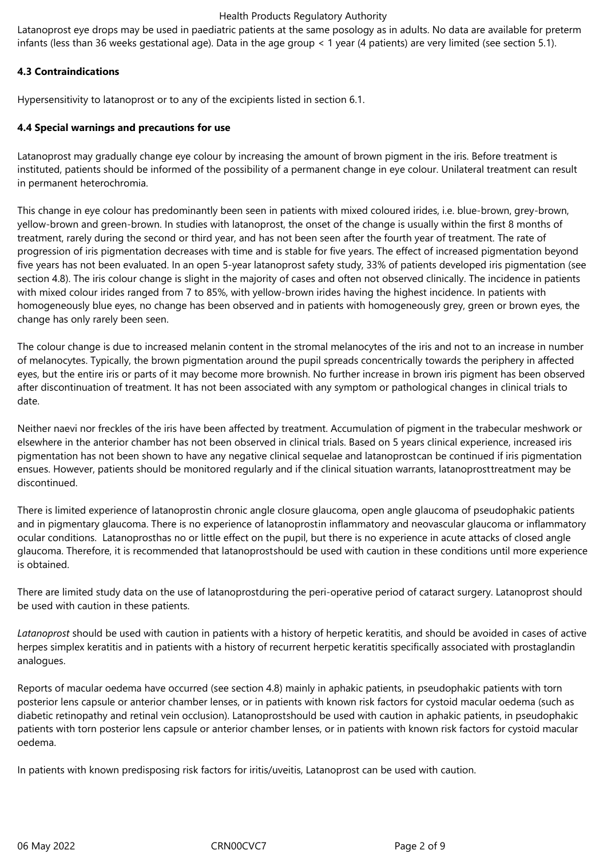Latanoprost eye drops may be used in paediatric patients at the same posology as in adults. No data are available for preterm infants (less than 36 weeks gestational age). Data in the age group < 1 year (4 patients) are very limited (see section 5.1).

# **4.3 Contraindications**

Hypersensitivity to latanoprost or to any of the excipients listed in section 6.1.

# **4.4 Special warnings and precautions for use**

Latanoprost may gradually change eye colour by increasing the amount of brown pigment in the iris. Before treatment is instituted, patients should be informed of the possibility of a permanent change in eye colour. Unilateral treatment can result in permanent heterochromia.

This change in eye colour has predominantly been seen in patients with mixed coloured irides, i.e. blue-brown, grey-brown, yellow-brown and green-brown. In studies with latanoprost, the onset of the change is usually within the first 8 months of treatment, rarely during the second or third year, and has not been seen after the fourth year of treatment. The rate of progression of iris pigmentation decreases with time and is stable for five years. The effect of increased pigmentation beyond five years has not been evaluated. In an open 5-year latanoprost safety study, 33% of patients developed iris pigmentation (see section 4.8). The iris colour change is slight in the majority of cases and often not observed clinically. The incidence in patients with mixed colour irides ranged from 7 to 85%, with yellow-brown irides having the highest incidence. In patients with homogeneously blue eyes, no change has been observed and in patients with homogeneously grey, green or brown eyes, the change has only rarely been seen.

The colour change is due to increased melanin content in the stromal melanocytes of the iris and not to an increase in number of melanocytes. Typically, the brown pigmentation around the pupil spreads concentrically towards the periphery in affected eyes, but the entire iris or parts of it may become more brownish. No further increase in brown iris pigment has been observed after discontinuation of treatment. It has not been associated with any symptom or pathological changes in clinical trials to date.

Neither naevi nor freckles of the iris have been affected by treatment. Accumulation of pigment in the trabecular meshwork or elsewhere in the anterior chamber has not been observed in clinical trials. Based on 5 years clinical experience, increased iris pigmentation has not been shown to have any negative clinical sequelae and latanoprostcan be continued if iris pigmentation ensues. However, patients should be monitored regularly and if the clinical situation warrants, latanoprosttreatment may be discontinued.

There is limited experience of latanoprostin chronic angle closure glaucoma, open angle glaucoma of pseudophakic patients and in pigmentary glaucoma. There is no experience of latanoprostin inflammatory and neovascular glaucoma or inflammatory ocular conditions. Latanoprosthas no or little effect on the pupil, but there is no experience in acute attacks of closed angle glaucoma. Therefore, it is recommended that latanoprostshould be used with caution in these conditions until more experience is obtained.

There are limited study data on the use of latanoprostduring the peri-operative period of cataract surgery. Latanoprost should be used with caution in these patients.

*Latanoprost* should be used with caution in patients with a history of herpetic keratitis, and should be avoided in cases of active herpes simplex keratitis and in patients with a history of recurrent herpetic keratitis specifically associated with prostaglandin analogues.

Reports of macular oedema have occurred (see section 4.8) mainly in aphakic patients, in pseudophakic patients with torn posterior lens capsule or anterior chamber lenses, or in patients with known risk factors for cystoid macular oedema (such as diabetic retinopathy and retinal vein occlusion). Latanoprostshould be used with caution in aphakic patients, in pseudophakic patients with torn posterior lens capsule or anterior chamber lenses, or in patients with known risk factors for cystoid macular oedema.

In patients with known predisposing risk factors for iritis/uveitis, Latanoprost can be used with caution.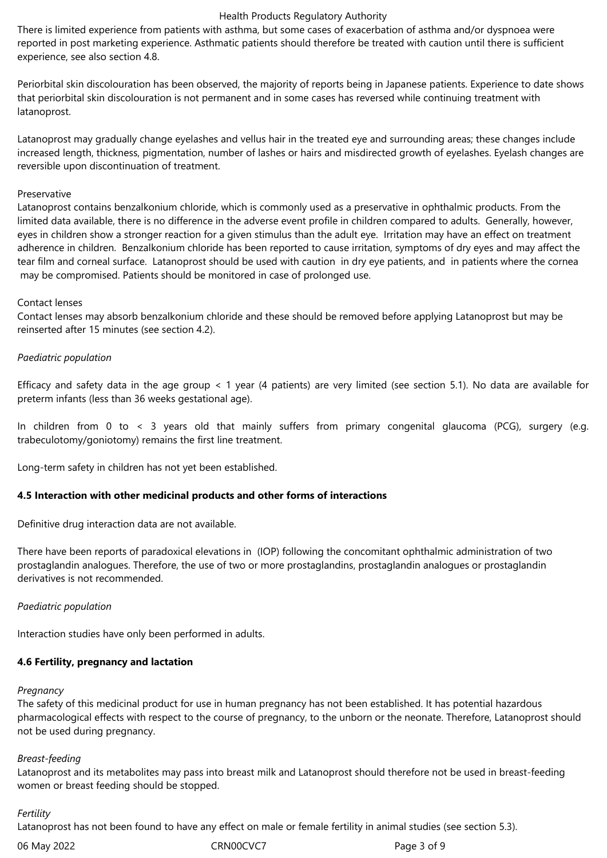There is limited experience from patients with asthma, but some cases of exacerbation of asthma and/or dyspnoea were reported in post marketing experience. Asthmatic patients should therefore be treated with caution until there is sufficient experience, see also section 4.8.

Periorbital skin discolouration has been observed, the majority of reports being in Japanese patients. Experience to date shows that periorbital skin discolouration is not permanent and in some cases has reversed while continuing treatment with latanoprost.

Latanoprost may gradually change eyelashes and vellus hair in the treated eye and surrounding areas; these changes include increased length, thickness, pigmentation, number of lashes or hairs and misdirected growth of eyelashes. Eyelash changes are reversible upon discontinuation of treatment.

# Preservative

Latanoprost contains benzalkonium chloride, which is commonly used as a preservative in ophthalmic products. From the limited data available, there is no difference in the adverse event profile in children compared to adults. Generally, however, eyes in children show a stronger reaction for a given stimulus than the adult eye. Irritation may have an effect on treatment adherence in children. Benzalkonium chloride has been reported to cause irritation, symptoms of dry eyes and may affect the tear film and corneal surface. Latanoprost should be used with caution in dry eye patients, and in patients where the cornea may be compromised. Patients should be monitored in case of prolonged use.

# Contact lenses

Contact lenses may absorb benzalkonium chloride and these should be removed before applying Latanoprost but may be reinserted after 15 minutes (see section 4.2).

# *Paediatric population*

Efficacy and safety data in the age group < 1 year (4 patients) are very limited (see section 5.1). No data are available for preterm infants (less than 36 weeks gestational age).

In children from 0 to < 3 years old that mainly suffers from primary congenital glaucoma (PCG), surgery (e.g. trabeculotomy/goniotomy) remains the first line treatment.

Long-term safety in children has not yet been established.

# **4.5 Interaction with other medicinal products and other forms of interactions**

Definitive drug interaction data are not available.

There have been reports of paradoxical elevations in (IOP) following the concomitant ophthalmic administration of two prostaglandin analogues. Therefore, the use of two or more prostaglandins, prostaglandin analogues or prostaglandin derivatives is not recommended.

# *Paediatric population*

Interaction studies have only been performed in adults.

# **4.6 Fertility, pregnancy and lactation**

#### *Pregnancy*

The safety of this medicinal product for use in human pregnancy has not been established. It has potential hazardous pharmacological effects with respect to the course of pregnancy, to the unborn or the neonate. Therefore, Latanoprost should not be used during pregnancy.

# *Breast-feeding*

Latanoprost and its metabolites may pass into breast milk and Latanoprost should therefore not be used in breast-feeding women or breast feeding should be stopped.

# *Fertility*

Latanoprost has not been found to have any effect on male or female fertility in animal studies (see section 5.3).

06 May 2022 CRN00CVC7 CRNOCVC7 Page 3 of 9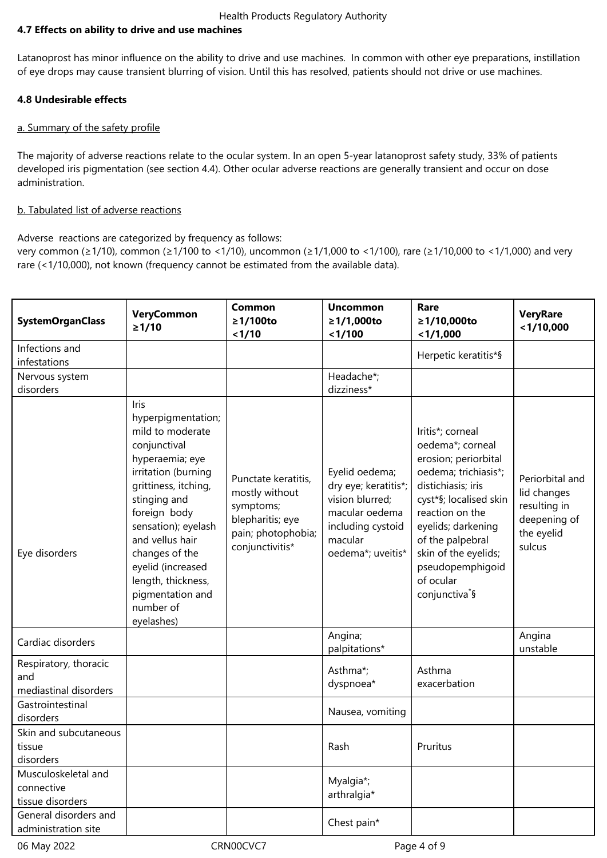# **4.7 Effects on ability to drive and use machines**

Latanoprost has minor influence on the ability to drive and use machines. In common with other eye preparations, instillation of eye drops may cause transient blurring of vision. Until this has resolved, patients should not drive or use machines.

# **4.8 Undesirable effects**

# a. Summary of the safety profile

The majority of adverse reactions relate to the ocular system. In an open 5-year latanoprost safety study, 33% of patients developed iris pigmentation (see section 4.4). Other ocular adverse reactions are generally transient and occur on dose administration.

# b. Tabulated list of adverse reactions

Adverse reactions are categorized by frequency as follows:

very common (≥1/10), common (≥1/100 to <1/10), uncommon (≥1/1,000 to <1/100), rare (≥1/10,000 to <1/1,000) and very rare (<1/10,000), not known (frequency cannot be estimated from the available data).

| <b>SystemOrganClass</b>                               | <b>VeryCommon</b><br>≥1/10                                                                                                                                                                                                                                                                                             | <b>Common</b><br>≥1/100to<br>1/10                                                                               | <b>Uncommon</b><br>≥1/1,000to<br>< 1/100                                                                                         | Rare<br>≥1/10,000to<br>< 1/1,000                                                                                                                                                                                                                                                         | <b>VeryRare</b><br>$<$ 1/10,000                                                        |
|-------------------------------------------------------|------------------------------------------------------------------------------------------------------------------------------------------------------------------------------------------------------------------------------------------------------------------------------------------------------------------------|-----------------------------------------------------------------------------------------------------------------|----------------------------------------------------------------------------------------------------------------------------------|------------------------------------------------------------------------------------------------------------------------------------------------------------------------------------------------------------------------------------------------------------------------------------------|----------------------------------------------------------------------------------------|
| Infections and                                        |                                                                                                                                                                                                                                                                                                                        |                                                                                                                 |                                                                                                                                  | Herpetic keratitis*§                                                                                                                                                                                                                                                                     |                                                                                        |
| infestations                                          |                                                                                                                                                                                                                                                                                                                        |                                                                                                                 |                                                                                                                                  |                                                                                                                                                                                                                                                                                          |                                                                                        |
| Nervous system                                        |                                                                                                                                                                                                                                                                                                                        |                                                                                                                 | Headache*;                                                                                                                       |                                                                                                                                                                                                                                                                                          |                                                                                        |
| disorders                                             |                                                                                                                                                                                                                                                                                                                        |                                                                                                                 | dizziness*                                                                                                                       |                                                                                                                                                                                                                                                                                          |                                                                                        |
| Eye disorders                                         | Iris<br>hyperpigmentation;<br>mild to moderate<br>conjunctival<br>hyperaemia; eye<br>irritation (burning<br>grittiness, itching,<br>stinging and<br>foreign body<br>sensation); eyelash<br>and vellus hair<br>changes of the<br>eyelid (increased<br>length, thickness,<br>pigmentation and<br>number of<br>eyelashes) | Punctate keratitis,<br>mostly without<br>symptoms;<br>blepharitis; eye<br>pain; photophobia;<br>conjunctivitis* | Eyelid oedema;<br>dry eye; keratitis*;<br>vision blurred;<br>macular oedema<br>including cystoid<br>macular<br>oedema*; uveitis* | Iritis*; corneal<br>oedema*; corneal<br>erosion; periorbital<br>oedema; trichiasis*;<br>distichiasis; iris<br>cyst*§; localised skin<br>reaction on the<br>eyelids; darkening<br>of the palpebral<br>skin of the eyelids;<br>pseudopemphigoid<br>of ocular<br>conjunctiva <sup>*</sup> § | Periorbital and<br>lid changes<br>resulting in<br>deepening of<br>the eyelid<br>sulcus |
| Cardiac disorders                                     |                                                                                                                                                                                                                                                                                                                        |                                                                                                                 | Angina;<br>palpitations*                                                                                                         |                                                                                                                                                                                                                                                                                          | Angina<br>unstable                                                                     |
| Respiratory, thoracic<br>and<br>mediastinal disorders |                                                                                                                                                                                                                                                                                                                        |                                                                                                                 | Asthma*;<br>dyspnoea*                                                                                                            | Asthma<br>exacerbation                                                                                                                                                                                                                                                                   |                                                                                        |
| Gastrointestinal<br>disorders                         |                                                                                                                                                                                                                                                                                                                        |                                                                                                                 | Nausea, vomiting                                                                                                                 |                                                                                                                                                                                                                                                                                          |                                                                                        |
| Skin and subcutaneous<br>tissue<br>disorders          |                                                                                                                                                                                                                                                                                                                        |                                                                                                                 | Rash                                                                                                                             | Pruritus                                                                                                                                                                                                                                                                                 |                                                                                        |
| Musculoskeletal and<br>connective<br>tissue disorders |                                                                                                                                                                                                                                                                                                                        |                                                                                                                 | Myalgia*;<br>arthralgia*                                                                                                         |                                                                                                                                                                                                                                                                                          |                                                                                        |
| General disorders and<br>administration site          |                                                                                                                                                                                                                                                                                                                        |                                                                                                                 | Chest pain*                                                                                                                      |                                                                                                                                                                                                                                                                                          |                                                                                        |

06 May 2022 CRN00CVC7 CRNOCVC7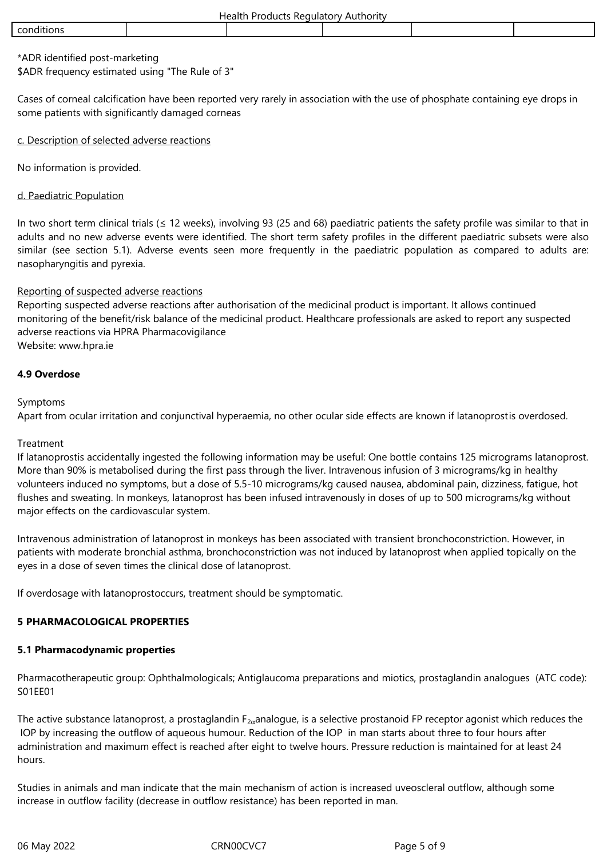# \*ADR identified post-marketing \$ADR frequency estimated using "The Rule of 3"

Cases of corneal calcification have been reported very rarely in association with the use of phosphate containing eye drops in some patients with significantly damaged corneas

# c. Description of selected adverse reactions

No information is provided.

# d. Paediatric Population

In two short term clinical trials ( $\leq 12$  weeks), involving 93 (25 and 68) paediatric patients the safety profile was similar to that in adults and no new adverse events were identified. The short term safety profiles in the different paediatric subsets were also similar (see section 5.1). Adverse events seen more frequently in the paediatric population as compared to adults are: nasopharyngitis and pyrexia.

# Reporting of suspected adverse reactions

Reporting suspected adverse reactions after authorisation of the medicinal product is important. It allows continued monitoring of the benefit/risk balance of the medicinal product. Healthcare professionals are asked to report any suspected adverse reactions via HPRA Pharmacovigilance Website: www.hpra.ie

# **4.9 Overdose**

# Symptoms

Apart from ocular irritation and conjunctival hyperaemia, no other ocular side effects are known if latanoprostis overdosed.

# Treatment

If latanoprostis accidentally ingested the following information may be useful: One bottle contains 125 micrograms latanoprost. More than 90% is metabolised during the first pass through the liver. Intravenous infusion of 3 micrograms/kg in healthy volunteers induced no symptoms, but a dose of 5.5-10 micrograms/kg caused nausea, abdominal pain, dizziness, fatigue, hot flushes and sweating. In monkeys, latanoprost has been infused intravenously in doses of up to 500 micrograms/kg without major effects on the cardiovascular system.

Intravenous administration of latanoprost in monkeys has been associated with transient bronchoconstriction. However, in patients with moderate bronchial asthma, bronchoconstriction was not induced by latanoprost when applied topically on the eyes in a dose of seven times the clinical dose of latanoprost.

If overdosage with latanoprostoccurs, treatment should be symptomatic.

# **5 PHARMACOLOGICAL PROPERTIES**

# **5.1 Pharmacodynamic properties**

Pharmacotherapeutic group: Ophthalmologicals; Antiglaucoma preparations and miotics, prostaglandin analogues (ATC code): S01EE01

The active substance latanoprost, a prostaglandin  $F_{2\alpha}$ analogue, is a selective prostanoid FP receptor agonist which reduces the IOP by increasing the outflow of aqueous humour. Reduction of the IOP in man starts about three to four hours after administration and maximum effect is reached after eight to twelve hours. Pressure reduction is maintained for at least 24 hours.

Studies in animals and man indicate that the main mechanism of action is increased uveoscleral outflow, although some increase in outflow facility (decrease in outflow resistance) has been reported in man.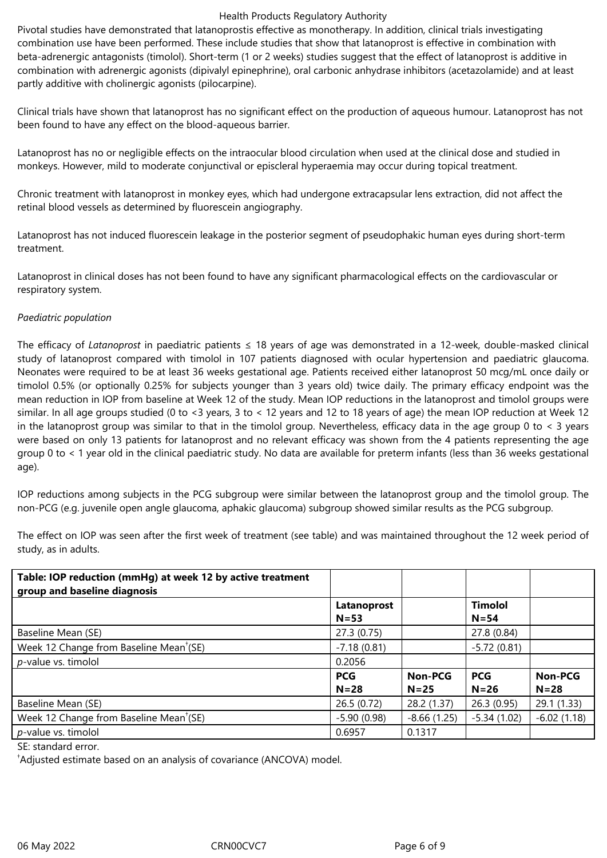Pivotal studies have demonstrated that latanoprostis effective as monotherapy. In addition, clinical trials investigating combination use have been performed. These include studies that show that latanoprost is effective in combination with beta-adrenergic antagonists (timolol). Short-term (1 or 2 weeks) studies suggest that the effect of latanoprost is additive in combination with adrenergic agonists (dipivalyl epinephrine), oral carbonic anhydrase inhibitors (acetazolamide) and at least partly additive with cholinergic agonists (pilocarpine).

Clinical trials have shown that latanoprost has no significant effect on the production of aqueous humour. Latanoprost has not been found to have any effect on the blood-aqueous barrier.

Latanoprost has no or negligible effects on the intraocular blood circulation when used at the clinical dose and studied in monkeys. However, mild to moderate conjunctival or episcleral hyperaemia may occur during topical treatment.

Chronic treatment with latanoprost in monkey eyes, which had undergone extracapsular lens extraction, did not affect the retinal blood vessels as determined by fluorescein angiography.

Latanoprost has not induced fluorescein leakage in the posterior segment of pseudophakic human eyes during short-term treatment.

Latanoprost in clinical doses has not been found to have any significant pharmacological effects on the cardiovascular or respiratory system.

# *Paediatric population*

The efficacy of *Latanoprost* in paediatric patients ≤ 18 years of age was demonstrated in a 12-week, double-masked clinical study of latanoprost compared with timolol in 107 patients diagnosed with ocular hypertension and paediatric glaucoma. Neonates were required to be at least 36 weeks gestational age. Patients received either latanoprost 50 mcg/mL once daily or timolol 0.5% (or optionally 0.25% for subjects younger than 3 years old) twice daily. The primary efficacy endpoint was the mean reduction in IOP from baseline at Week 12 of the study. Mean IOP reductions in the latanoprost and timolol groups were similar. In all age groups studied (0 to <3 years, 3 to < 12 years and 12 to 18 years of age) the mean IOP reduction at Week 12 in the latanoprost group was similar to that in the timolol group. Nevertheless, efficacy data in the age group 0 to < 3 years were based on only 13 patients for latanoprost and no relevant efficacy was shown from the 4 patients representing the age group 0 to < 1 year old in the clinical paediatric study. No data are available for preterm infants (less than 36 weeks gestational age).

IOP reductions among subjects in the PCG subgroup were similar between the latanoprost group and the timolol group. The non-PCG (e.g. juvenile open angle glaucoma, aphakic glaucoma) subgroup showed similar results as the PCG subgroup.

| Table: IOP reduction (mmHg) at week 12 by active treatment<br>group and baseline diagnosis |               |               |                |                |
|--------------------------------------------------------------------------------------------|---------------|---------------|----------------|----------------|
|                                                                                            | Latanoprost   |               | <b>Timolol</b> |                |
|                                                                                            | $N = 53$      |               | $N = 54$       |                |
| Baseline Mean (SE)                                                                         | 27.3(0.75)    |               | 27.8 (0.84)    |                |
| Week 12 Change from Baseline Mean <sup>t</sup> (SE)                                        | $-7.18(0.81)$ |               | $-5.72(0.81)$  |                |
| p-value vs. timolol                                                                        | 0.2056        |               |                |                |
|                                                                                            | <b>PCG</b>    | Non-PCG       | <b>PCG</b>     | <b>Non-PCG</b> |
|                                                                                            | $N = 28$      | $N = 25$      | $N = 26$       | $N = 28$       |
| Baseline Mean (SE)                                                                         | 26.5(0.72)    | 28.2 (1.37)   | 26.3(0.95)     | 29.1(1.33)     |
| Week 12 Change from Baseline Mean <sup>t</sup> (SE)                                        | $-5.90(0.98)$ | $-8.66(1.25)$ | $-5.34(1.02)$  | $-6.02(1.18)$  |
| p-value vs. timolol                                                                        | 0.6957        | 0.1317        |                |                |

The effect on IOP was seen after the first week of treatment (see table) and was maintained throughout the 12 week period of study, as in adults.

SE: standard error.

†Adjusted estimate based on an analysis of covariance (ANCOVA) model.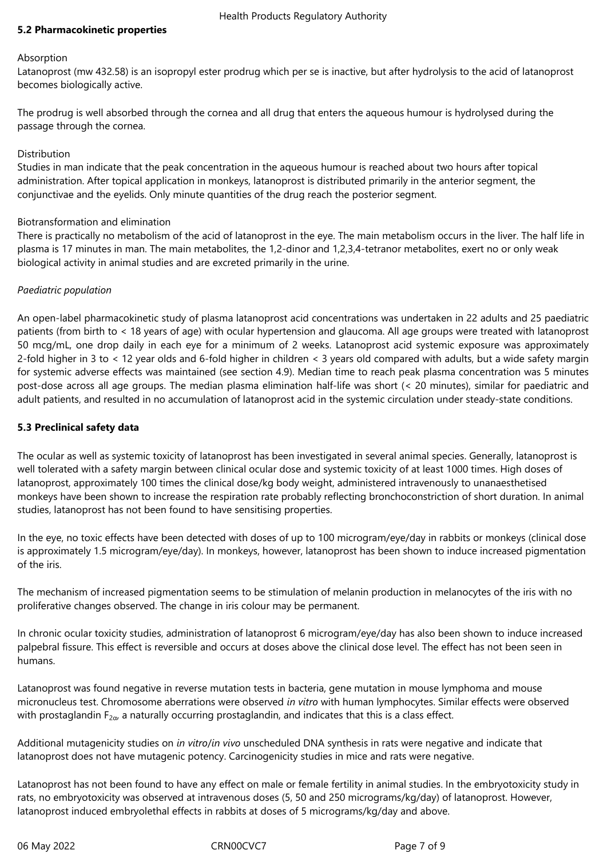#### **5.2 Pharmacokinetic properties**

#### **Absorption**

Latanoprost (mw 432.58) is an isopropyl ester prodrug which per se is inactive, but after hydrolysis to the acid of latanoprost becomes biologically active.

The prodrug is well absorbed through the cornea and all drug that enters the aqueous humour is hydrolysed during the passage through the cornea.

#### Distribution

Studies in man indicate that the peak concentration in the aqueous humour is reached about two hours after topical administration. After topical application in monkeys, latanoprost is distributed primarily in the anterior segment, the conjunctivae and the eyelids. Only minute quantities of the drug reach the posterior segment.

# Biotransformation and elimination

There is practically no metabolism of the acid of latanoprost in the eye. The main metabolism occurs in the liver. The half life in plasma is 17 minutes in man. The main metabolites, the 1,2-dinor and 1,2,3,4-tetranor metabolites, exert no or only weak biological activity in animal studies and are excreted primarily in the urine.

# *Paediatric population*

An open-label pharmacokinetic study of plasma latanoprost acid concentrations was undertaken in 22 adults and 25 paediatric patients (from birth to < 18 years of age) with ocular hypertension and glaucoma. All age groups were treated with latanoprost 50 mcg/mL, one drop daily in each eye for a minimum of 2 weeks. Latanoprost acid systemic exposure was approximately 2-fold higher in 3 to < 12 year olds and 6-fold higher in children < 3 years old compared with adults, but a wide safety margin for systemic adverse effects was maintained (see section 4.9). Median time to reach peak plasma concentration was 5 minutes post-dose across all age groups. The median plasma elimination half-life was short (< 20 minutes), similar for paediatric and adult patients, and resulted in no accumulation of latanoprost acid in the systemic circulation under steady-state conditions.

#### **5.3 Preclinical safety data**

The ocular as well as systemic toxicity of latanoprost has been investigated in several animal species. Generally, latanoprost is well tolerated with a safety margin between clinical ocular dose and systemic toxicity of at least 1000 times. High doses of latanoprost, approximately 100 times the clinical dose/kg body weight, administered intravenously to unanaesthetised monkeys have been shown to increase the respiration rate probably reflecting bronchoconstriction of short duration. In animal studies, latanoprost has not been found to have sensitising properties.

In the eye, no toxic effects have been detected with doses of up to 100 microgram/eye/day in rabbits or monkeys (clinical dose is approximately 1.5 microgram/eye/day). In monkeys, however, latanoprost has been shown to induce increased pigmentation of the iris.

The mechanism of increased pigmentation seems to be stimulation of melanin production in melanocytes of the iris with no proliferative changes observed. The change in iris colour may be permanent.

In chronic ocular toxicity studies, administration of latanoprost 6 microgram/eye/day has also been shown to induce increased palpebral fissure. This effect is reversible and occurs at doses above the clinical dose level. The effect has not been seen in humans.

Latanoprost was found negative in reverse mutation tests in bacteria, gene mutation in mouse lymphoma and mouse micronucleus test. Chromosome aberrations were observed *in vitro* with human lymphocytes. Similar effects were observed with prostaglandin  $F_{2\alpha}$ , a naturally occurring prostaglandin, and indicates that this is a class effect.

Additional mutagenicity studies on *in vitro*/*in vivo* unscheduled DNA synthesis in rats were negative and indicate that latanoprost does not have mutagenic potency. Carcinogenicity studies in mice and rats were negative.

Latanoprost has not been found to have any effect on male or female fertility in animal studies. In the embryotoxicity study in rats, no embryotoxicity was observed at intravenous doses (5, 50 and 250 micrograms/kg/day) of latanoprost. However, latanoprost induced embryolethal effects in rabbits at doses of 5 micrograms/kg/day and above.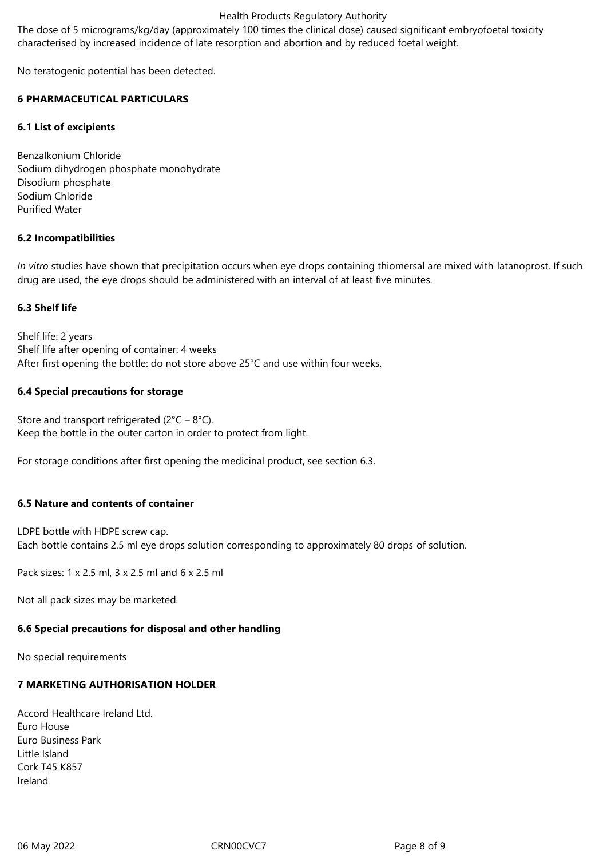The dose of 5 micrograms/kg/day (approximately 100 times the clinical dose) caused significant embryofoetal toxicity characterised by increased incidence of late resorption and abortion and by reduced foetal weight.

No teratogenic potential has been detected.

# **6 PHARMACEUTICAL PARTICULARS**

# **6.1 List of excipients**

Benzalkonium Chloride Sodium dihydrogen phosphate monohydrate Disodium phosphate Sodium Chloride Purified Water

# **6.2 Incompatibilities**

*In vitro* studies have shown that precipitation occurs when eye drops containing thiomersal are mixed with latanoprost. If such drug are used, the eye drops should be administered with an interval of at least five minutes.

# **6.3 Shelf life**

Shelf life: 2 years Shelf life after opening of container: 4 weeks After first opening the bottle: do not store above 25°C and use within four weeks.

# **6.4 Special precautions for storage**

Store and transport refrigerated  $(2^{\circ}C - 8^{\circ}C)$ . Keep the bottle in the outer carton in order to protect from light.

For storage conditions after first opening the medicinal product, see section 6.3.

# **6.5 Nature and contents of container**

LDPE bottle with HDPE screw cap. Each bottle contains 2.5 ml eye drops solution corresponding to approximately 80 drops of solution.

Pack sizes: 1 x 2.5 ml, 3 x 2.5 ml and 6 x 2.5 ml

Not all pack sizes may be marketed.

# **6.6 Special precautions for disposal and other handling**

No special requirements

# **7 MARKETING AUTHORISATION HOLDER**

Accord Healthcare Ireland Ltd. Euro House Euro Business Park Little Island Cork T45 K857 Ireland